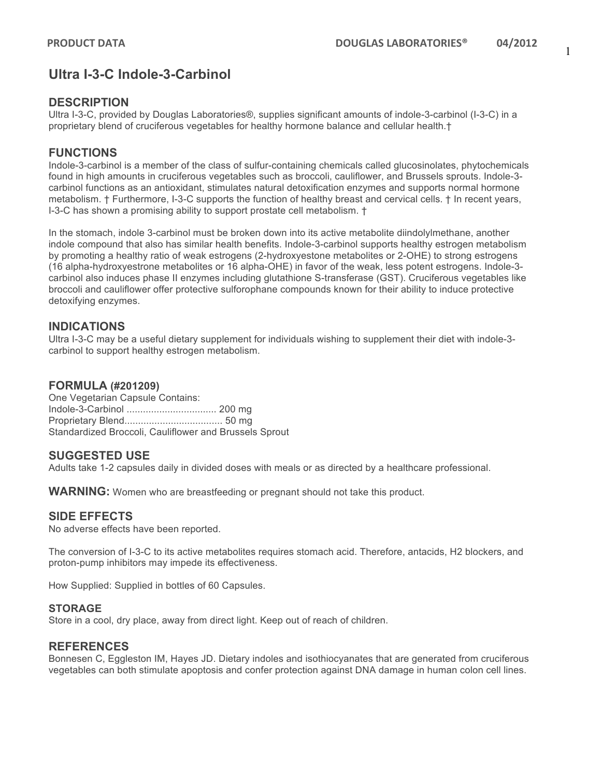## **Ultra I-3-C Indole-3-Carbinol**

### **DESCRIPTION**

Ultra I-3-C, provided by Douglas Laboratories®, supplies significant amounts of indole-3-carbinol (I-3-C) in a proprietary blend of cruciferous vegetables for healthy hormone balance and cellular health.†

## **FUNCTIONS**

Indole-3-carbinol is a member of the class of sulfur-containing chemicals called glucosinolates, phytochemicals found in high amounts in cruciferous vegetables such as broccoli, cauliflower, and Brussels sprouts. Indole-3 carbinol functions as an antioxidant, stimulates natural detoxification enzymes and supports normal hormone metabolism. † Furthermore, I-3-C supports the function of healthy breast and cervical cells. † In recent years, I-3-C has shown a promising ability to support prostate cell metabolism. †

In the stomach, indole 3-carbinol must be broken down into its active metabolite diindolylmethane, another indole compound that also has similar health benefits. Indole-3-carbinol supports healthy estrogen metabolism by promoting a healthy ratio of weak estrogens (2-hydroxyestone metabolites or 2-OHE) to strong estrogens (16 alpha-hydroxyestrone metabolites or 16 alpha-OHE) in favor of the weak, less potent estrogens. Indole-3 carbinol also induces phase II enzymes including glutathione S-transferase (GST). Cruciferous vegetables like broccoli and cauliflower offer protective sulforophane compounds known for their ability to induce protective detoxifying enzymes.

## **INDICATIONS**

Ultra I-3-C may be a useful dietary supplement for individuals wishing to supplement their diet with indole-3 carbinol to support healthy estrogen metabolism.

#### **FORMULA (#201209)**

One Vegetarian Capsule Contains: Indole-3-Carbinol ................................. 200 mg Proprietary Blend.................................... 50 mg Standardized Broccoli, Cauliflower and Brussels Sprout

#### **SUGGESTED USE**

Adults take 1-2 capsules daily in divided doses with meals or as directed by a healthcare professional.

**WARNING:** Women who are breastfeeding or pregnant should not take this product.

#### **SIDE EFFECTS**

No adverse effects have been reported.

The conversion of I-3-C to its active metabolites requires stomach acid. Therefore, antacids, H2 blockers, and proton-pump inhibitors may impede its effectiveness.

How Supplied: Supplied in bottles of 60 Capsules.

#### **STORAGE**

Store in a cool, dry place, away from direct light. Keep out of reach of children.

#### **REFERENCES**

Bonnesen C, Eggleston IM, Hayes JD. Dietary indoles and isothiocyanates that are generated from cruciferous vegetables can both stimulate apoptosis and confer protection against DNA damage in human colon cell lines.

1